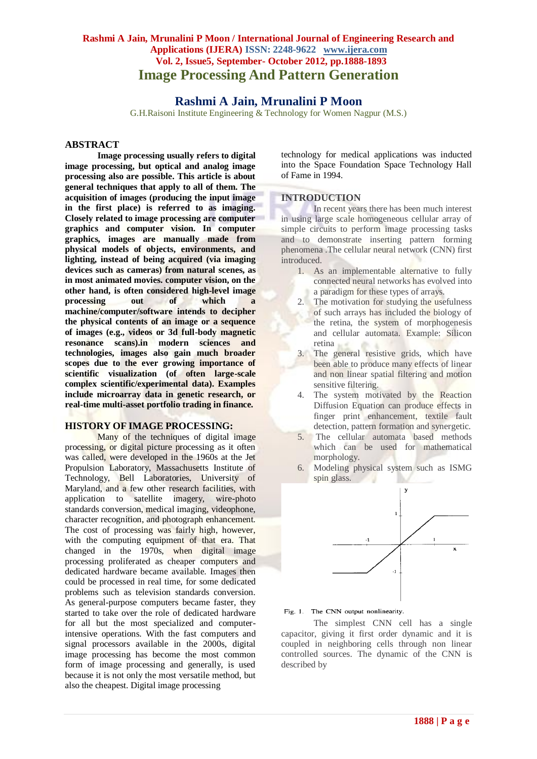# **Rashmi A Jain, Mrunalini P Moon / International Journal of Engineering Research and Applications (IJERA) ISSN: 2248-9622 www.ijera.com Vol. 2, Issue5, September- October 2012, pp.1888-1893 Image Processing And Pattern Generation**

# **Rashmi A Jain, Mrunalini P Moon**

G.H.Raisoni Institute Engineering & Technology for Women Nagpur (M.S.)

# **ABSTRACT**

**Image processing usually refers to digital image processing, but optical and analog image processing also are possible. This article is about general techniques that apply to all of them. The acquisition of images (producing the input image in the first place) is referred to as imaging. Closely related to image processing are computer graphics and computer vision. In computer graphics, images are manually made from physical models of objects, environments, and lighting, instead of being acquired (via imaging devices such as cameras) from natural scenes, as in most animated movies. computer vision, on the other hand, is often considered high-level image processing out of which a machine/computer/software intends to decipher the physical contents of an image or a sequence of images (e.g., videos or 3d full-body magnetic resonance scans).in modern sciences and technologies, images also gain much broader scopes due to the ever growing importance of scientific visualization (of often large-scale complex scientific/experimental data). Examples include microarray data in genetic research, or real-time multi-asset portfolio trading in finance.**

### **HISTORY OF IMAGE PROCESSING:**

Many of the techniques of digital image processing, or digital picture processing as it often was called, were developed in the 1960s at the Jet Propulsion Laboratory, Massachusetts Institute of Technology, Bell Laboratories, University of Maryland, and a few other research facilities, with application to satellite imagery, wire-photo standards conversion, medical imaging, videophone, character recognition, and photograph enhancement. The cost of processing was fairly high, however, with the computing equipment of that era. That changed in the 1970s, when digital image processing proliferated as cheaper computers and dedicated hardware became available. Images then could be processed in real time, for some dedicated problems such as television standards conversion. As general-purpose computers became faster, they started to take over the role of dedicated hardware for all but the most specialized and computerintensive operations. With the fast computers and signal processors available in the 2000s, digital image processing has become the most common form of image processing and generally, is used because it is not only the most versatile method, but also the cheapest. Digital image processing

technology for medical applications was inducted into the Space Foundation Space Technology Hall of Fame in 1994.

## **INTRODUCTION**

In recent years there has been much interest in using large scale homogeneous cellular array of simple circuits to perform image processing tasks and to demonstrate inserting pattern forming phenomena .The cellular neural network (CNN) first introduced.

- 1. As an implementable alternative to fully connected neural networks has evolved into a paradigm for these types of arrays.
- 2. The motivation for studying the usefulness of such arrays has included the biology of the retina, the system of morphogenesis and cellular automata. Example: Silicon retina
- 3. The general resistive grids, which have been able to produce many effects of linear and non linear spatial filtering and motion sensitive filtering.
- 4. The system motivated by the Reaction Diffusion Equation can produce effects in finger print enhancement, textile fault detection, pattern formation and synergetic.
- 5. The cellular automata based methods which can be used for mathematical morphology.
- 6. Modeling physical system such as ISMG spin glass. u



Fig. 1. The CNN output nonlinearity.

The simplest CNN cell has a single capacitor, giving it first order dynamic and it is coupled in neighboring cells through non linear controlled sources. The dynamic of the CNN is described by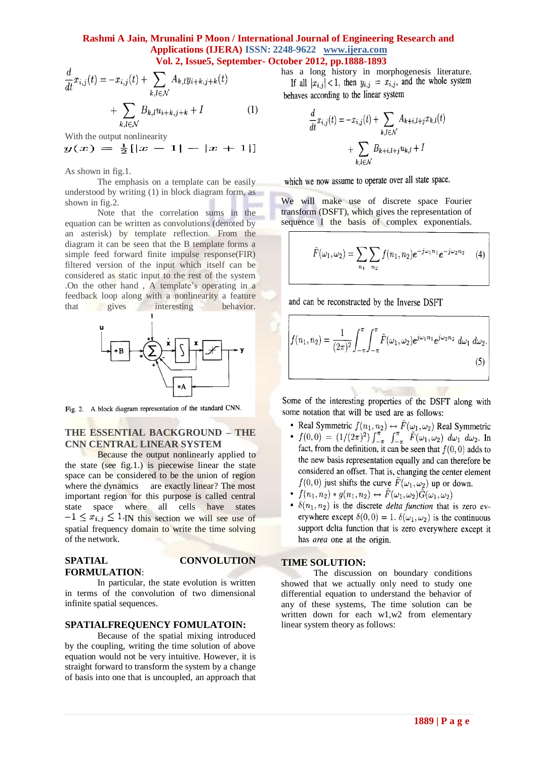### **Rashmi A Jain, Mrunalini P Moon / International Journal of Engineering Research and Applications (IJERA) ISSN: 2248-9622 www.ijera.com Vol. 2, Issue5, September- October 2012, pp.1888-1893**

$$
\frac{d}{dt}x_{i,j}(t) = -x_{i,j}(t) + \sum_{k,l \in \mathcal{N}} A_{k,l}y_{i+k,j+k}(t) + \sum_{k,l \in \mathcal{N}} B_{k,l}u_{i+k,j+k} + I \tag{1}
$$

With the output nonlinearity

 $y(x) = \frac{1}{2} [ |x - 1| - |x + 1| ]$ 

As shown in fig.1.

The emphasis on a template can be easily understood by writing (1) in block diagram form, as shown in fig.2.

Note that the correlation sums in the equation can be written as convolutions (denoted by an asterisk) by template reflection. From the diagram it can be seen that the B template forms a simple feed forward finite impulse response(FIR) filtered version of the input which itself can be considered as static input to the rest of the system .On the other hand , A template's operating in a feedback loop along with a nonlinearity a feature that gives interesting behavior.



Fig. 2. A block diagram representation of the standard CNN.

# **THE ESSENTIAL BACKGROUND – THE CNN CENTRAL LINEAR SYSTEM**

Because the output nonlinearly applied to the state (see fig.1.) is piecewise linear the state space can be considered to be the union of region where the dynamics are exactly linear? The most important region for this purpose is called central state space where all cells have states  $-1 \leq x_{i,j} \leq 1$  IN this section we will see use of spatial frequency domain to write the time solving of the network.

#### **SPATIAL CONVOLUTION FORMULATION**:

In particular, the state evolution is written in terms of the convolution of two dimensional infinite spatial sequences.

### **SPATIALFREQUENCY FOMULATOIN:**

Because of the spatial mixing introduced by the coupling, writing the time solution of above equation would not be very intuitive. However, it is straight forward to transform the system by a change of basis into one that is uncoupled, an approach that has a long history in morphogenesis literature.<br>If all  $|x_{i,j}| < 1$ , then  $y_{i,j} = x_{i,j}$ , and the whole system behaves according to the linear system

$$
\frac{d}{dt}x_{i,j}(t) = -x_{i,j}(t) + \sum_{k,l \in \mathcal{N}} A_{k+i,l+j}x_{k,l}(t) + \sum_{k,l \in \mathcal{N}} B_{k+i,l+j}u_{k,l} + I
$$

which we now assume to operate over all state space.

We will make use of discrete space Fourier transform (DSFT), which gives the representation of sequence I the basis of complex exponentials.

$$
\tilde{F}(\omega_1, \omega_2) = \sum_{n_1} \sum_{n_2} f(n_1, n_2) e^{-j\omega_1 n_1} e^{-j\omega_2 n_2} \qquad (4)
$$

and can be reconstructed by the Inverse DSFT

$$
f(n_1, n_2) = \frac{1}{(2\pi)^2} \int_{-\pi}^{\pi} \int_{-\pi}^{\pi} \tilde{F}(\omega_1, \omega_2) e^{j\omega_1 n_1} e^{j\omega_2 n_2} d\omega_1 d\omega_2.
$$
 (5)

Some of the interesting properties of the DSFT along with some notation that will be used are as follows:

Tur.

- Real Symmetric  $f(n_1, n_2) \leftrightarrow \tilde{F}(\omega_1, \omega_2)$  Real Symmetric
- $f(0,0) = (1/(2\pi)^2) \int_{-\pi}^{\pi} \int_{-\pi}^{\pi} \tilde{F}(\omega_1,\omega_2) d\omega_1 d\omega_2$ . In fact, from the definition, it can be seen that  $f(0,0)$  adds to the new basis representation equally and can therefore be considered an offset. That is, changing the center element  $f(0,0)$  just shifts the curve  $\tilde{F}(\omega_1,\omega_2)$  up or down.
- $f(n_1, n_2) * g(n_1, n_2) \leftrightarrow \tilde{F}(\omega_1, \omega_2) \tilde{G}(\omega_1, \omega_2)$
- $\delta(n_1, n_2)$  is the discrete *delta function* that is zero everywhere except  $\delta(0,0) = 1$ .  $\delta(\omega_1, \omega_2)$  is the continuous support delta function that is zero everywhere except it has *area* one at the origin.

#### **TIME SOLUTION:**

The discussion on boundary conditions showed that we actually only need to study one differential equation to understand the behavior of any of these systems, The time solution can be written down for each w1,w2 from elementary linear system theory as follows: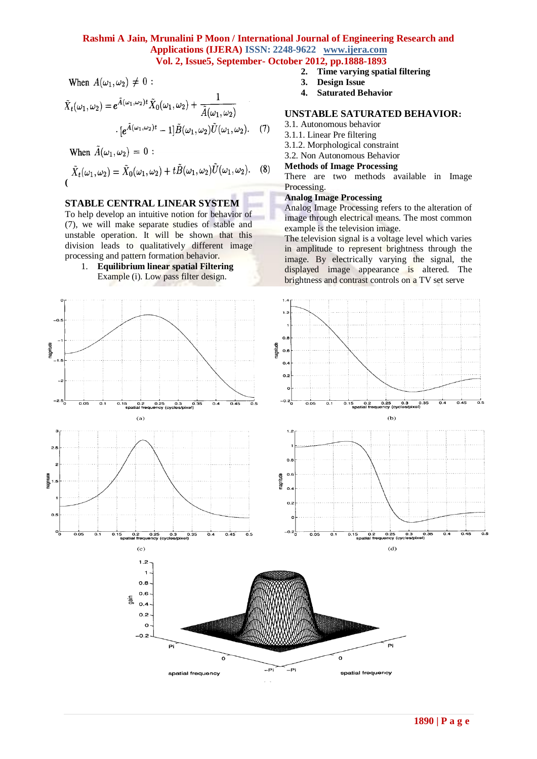# **Rashmi A Jain, Mrunalini P Moon / International Journal of Engineering Research and Applications (IJERA) ISSN: 2248-9622 www.ijera.com Vol. 2, Issue5, September- October 2012, pp.1888-1893**

When  $A(\omega_1, \omega_2) \neq 0$ :

$$
\tilde{X}_t(\omega_1, \omega_2) = e^{\tilde{A}(\omega_1, \omega_2)t} \tilde{X}_0(\omega_1, \omega_2) + \frac{1}{\tilde{A}(\omega_1, \omega_2)} \cdot [e^{\tilde{A}(\omega_1, \omega_2)t} - 1] \tilde{B}(\omega_1, \omega_2) \tilde{U}(\omega_1, \omega_2). \tag{7}
$$

When  $\tilde{A}(\omega_1, \omega_2) = 0$ :

$$
\tilde{X}_t(\omega_1,\omega_2) = \tilde{X}_0(\omega_1,\omega_2) + t\tilde{B}(\omega_1,\omega_2)\tilde{U}(\omega_1,\omega_2). \tag{8}
$$

## **STABLE CENTRAL LINEAR SYSTEM**

To help develop an intuitive notion for behavior of (7), we will make separate studies of stable and unstable operation. It will be shown that this division leads to qualitatively different image processing and pattern formation behavior.

1. **Equilibrium linear spatial Filtering** Example (i). Low pass filter design.

- **2. Time varying spatial filtering**
- **3. Design Issue**
- **4. Saturated Behavior**

# **UNSTABLE SATURATED BEHAVIOR:**

3.1. Autonomous behavior

3.1.1. Linear Pre filtering

3.1.2. Morphological constraint

3.2. Non Autonomous Behavior

## **Methods of Image Processing**

There are two methods available in Image Processing.

#### **Analog Image Processing**

Analog Image Processing refers to the alteration of image through electrical means. The most common example is the television image.

The television signal is a voltage level which varies in amplitude to represent brightness through the image. By electrically varying the signal, the displayed image appearance is altered. The brightness and contrast controls on a TV set serve

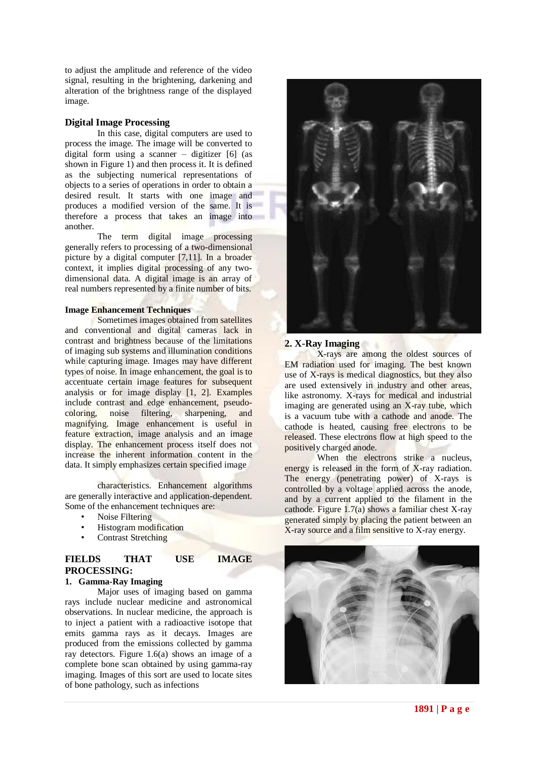to adjust the amplitude and reference of the video signal, resulting in the brightening, darkening and alteration of the brightness range of the displayed image.

#### **Digital Image Processing**

In this case, digital computers are used to process the image. The image will be converted to digital form using a scanner – digitizer [6] (as shown in Figure 1) and then process it. It is defined as the subjecting numerical representations of objects to a series of operations in order to obtain a desired result. It starts with one image and produces a modified version of the same. It is therefore a process that takes an image into another.

The term digital image processing generally refers to processing of a two-dimensional picture by a digital computer [7,11]. In a broader context, it implies digital processing of any twodimensional data. A digital image is an array of real numbers represented by a finite number of bits.

#### **Image Enhancement Techniques**

Sometimes images obtained from satellites and conventional and digital cameras lack in contrast and brightness because of the limitations of imaging sub systems and illumination conditions while capturing image. Images may have different types of noise. In image enhancement, the goal is to accentuate certain image features for subsequent analysis or for image display [1, 2]. Examples include contrast and edge enhancement, pseudocoloring, noise filtering, sharpening, and magnifying. Image enhancement is useful in feature extraction, image analysis and an image display. The enhancement process itself does not increase the inherent information content in the data. It simply emphasizes certain specified image

characteristics. Enhancement algorithms are generally interactive and application-dependent. Some of the enhancement techniques are:

- Noise Filtering
- Histogram modification
- Contrast Stretching

## **FIELDS THAT USE IMAGE PROCESSING:**

### **1. Gamma-Ray Imaging**

Major uses of imaging based on gamma rays include nuclear medicine and astronomical observations. In nuclear medicine, the approach is to inject a patient with a radioactive isotope that emits gamma rays as it decays. Images are produced from the emissions collected by gamma ray detectors. Figure 1.6(a) shows an image of a complete bone scan obtained by using gamma-ray imaging. Images of this sort are used to locate sites of bone pathology, such as infections



#### **2. X-Ray Imaging**

X-rays are among the oldest sources of EM radiation used for imaging. The best known use of X-rays is medical diagnostics, but they also are used extensively in industry and other areas, like astronomy. X-rays for medical and industrial imaging are generated using an X-ray tube, which is a vacuum tube with a cathode and anode. The cathode is heated, causing free electrons to be released. These electrons flow at high speed to the positively charged anode.

When the electrons strike a nucleus, energy is released in the form of X-ray radiation. The energy (penetrating power) of X-rays is controlled by a voltage applied across the anode, and by a current applied to the filament in the cathode. Figure 1.7(a) shows a familiar chest X-ray generated simply by placing the patient between an X-ray source and a film sensitive to X-ray energy.

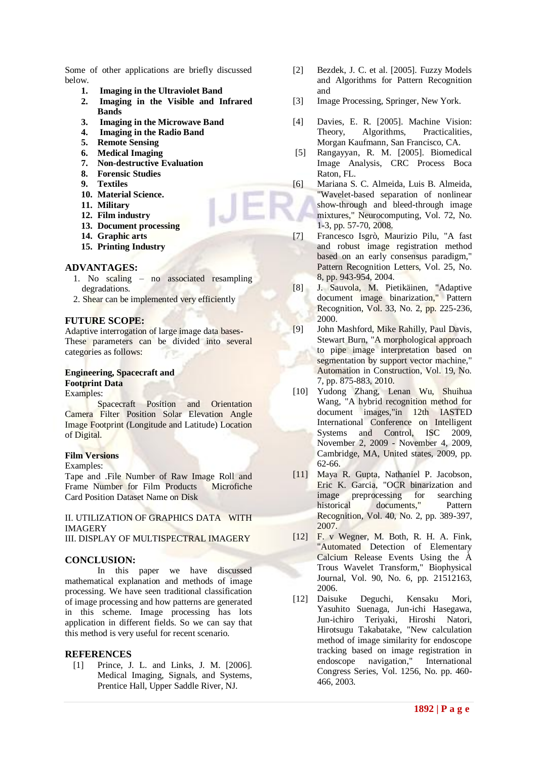Some of other applications are briefly discussed below.

- 
- **1. Imaging in the Ultraviolet Band 2. Imaging in the Visible and Infrared Bands**
- **3. Imaging in the Microwave Band**
- **4. Imaging in the Radio Band**
- **5. Remote Sensing**
- **6. Medical Imaging**
- **7. Non-destructive Evaluation**
- **8. Forensic Studies**
- **9. Textiles**
- **10. Material Science.**
- **11. Military**
- **12. Film industry**
- **13. Document processing**
- **14. Graphic arts**
- **15. Printing Industry**

#### **ADVANTAGES:**

- 1. No scaling no associated resampling degradations.
- 2. Shear can be implemented very efficiently

# **FUTURE SCOPE:**

Adaptive interrogation of large image data bases-These parameters can be divided into several categories as follows:

#### **Engineering, Spacecraft and Footprint Data** Examples:

Spacecraft Position and Orientation Camera Filter Position Solar Elevation Angle Image Footprint (Longitude and Latitude) Location of Digital.

#### **Film Versions**

Examples:

Tape and .File Number of Raw Image Roll and Frame Number for Film Products Microfiche Card Position Dataset Name on Disk

II. UTILIZATION OF GRAPHICS DATA WITH IMAGERY

III. DISPLAY OF MULTISPECTRAL IMAGERY

# **CONCLUSION:**

In this paper we have discussed mathematical explanation and methods of image processing. We have seen traditional classification of image processing and how patterns are generated in this scheme. Image processing has lots application in different fields. So we can say that this method is very useful for recent scenario.

#### **REFERENCES**

[1] Prince, J. L. and Links, J. M. [2006]. Medical Imaging, Signals, and Systems, Prentice Hall, Upper Saddle River, NJ.

- [2] Bezdek, J. C. et al. [2005]. Fuzzy Models and Algorithms for Pattern Recognition and
- [3] Image Processing, Springer, New York.
- [4] Davies, E. R. [2005]. Machine Vision: Theory, Algorithms, Practicalities, Morgan Kaufmann, San Francisco, CA.
- [5] Rangayyan, R. M. [2005]. Biomedical Image Analysis, CRC Process Boca Raton, FL.
- [6] Mariana S. C. Almeida, Luis B. Almeida, "Wavelet-based separation of nonlinear show-through and bleed-through image mixtures," Neurocomputing, Vol. 72, No. 1-3, pp. 57-70, 2008.
- [7] Francesco Isgrò, Maurizio Pilu, "A fast and robust image registration method based on an early consensus paradigm," Pattern Recognition Letters, Vol. 25, No. 8, pp. 943-954, 2004.
- [8] J. Sauvola, M. Pietikäinen, "Adaptive document image binarization," Pattern Recognition, Vol. 33, No. 2, pp. 225-236, 2000.
- [9] John Mashford, Mike Rahilly, Paul Davis, Stewart Burn, "A morphological approach to pipe image interpretation based on segmentation by support vector machine," Automation in Construction, Vol. 19, No. 7, pp. 875-883, 2010.
- [10] Yudong Zhang, Lenan Wu, Shuihua Wang, "A hybrid recognition method for document images,"in 12th IASTED International Conference on Intelligent Systems and Control, ISC 2009, November 2, 2009 - November 4, 2009, Cambridge, MA, United states, 2009, pp. 62-66.
- [11] Maya R. Gupta, Nathaniel P. Jacobson, Eric K. Garcia, "OCR binarization and image preprocessing for searching historical documents," Pattern Recognition, Vol. 40, No. 2, pp. 389-397, 2007.
- [12] F. v Wegner, M. Both, R. H. A. Fink, "Automated Detection of Elementary Calcium Release Events Using the À Trous Wavelet Transform," Biophysical Journal, Vol. 90, No. 6, pp. 21512163, 2006.
- [12] Daisuke Deguchi, Kensaku Mori, Yasuhito Suenaga, Jun-ichi Hasegawa, Jun-ichiro Teriyaki, Hiroshi Natori, Hirotsugu Takabatake, "New calculation method of image similarity for endoscope tracking based on image registration in endoscope navigation," International Congress Series, Vol. 1256, No. pp. 460- 466, 2003.